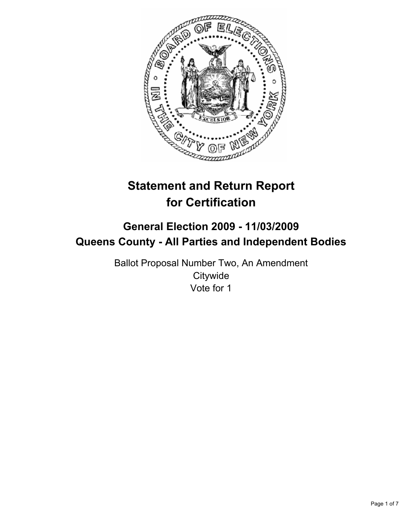

# **Statement and Return Report for Certification**

# **General Election 2009 - 11/03/2009 Queens County - All Parties and Independent Bodies**

Ballot Proposal Number Two, An Amendment **Citywide** Vote for 1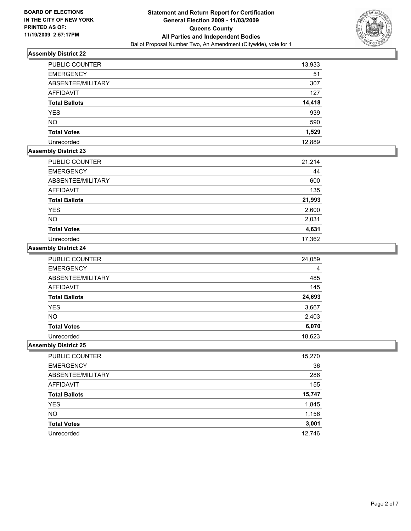

| <b>PUBLIC COUNTER</b> | 13,933 |
|-----------------------|--------|
| <b>EMERGENCY</b>      | 51     |
| ABSENTEE/MILITARY     | 307    |
| <b>AFFIDAVIT</b>      | 127    |
| <b>Total Ballots</b>  | 14,418 |
| <b>YES</b>            | 939    |
| <b>NO</b>             | 590    |
| <b>Total Votes</b>    | 1,529  |
| Unrecorded            | 12,889 |

# **Assembly District 23**

| PUBLIC COUNTER       | 21,214 |
|----------------------|--------|
| <b>EMERGENCY</b>     | 44     |
| ABSENTEE/MILITARY    | 600    |
| <b>AFFIDAVIT</b>     | 135    |
| <b>Total Ballots</b> | 21,993 |
| <b>YES</b>           | 2,600  |
| <b>NO</b>            | 2,031  |
| <b>Total Votes</b>   | 4,631  |
| Unrecorded           | 17,362 |

# **Assembly District 24**

| PUBLIC COUNTER       | 24,059 |
|----------------------|--------|
| <b>EMERGENCY</b>     | 4      |
| ABSENTEE/MILITARY    | 485    |
| <b>AFFIDAVIT</b>     | 145    |
| <b>Total Ballots</b> | 24,693 |
| <b>YES</b>           | 3,667  |
| <b>NO</b>            | 2,403  |
| <b>Total Votes</b>   | 6,070  |
| Unrecorded           | 18,623 |

| PUBLIC COUNTER       | 15,270 |
|----------------------|--------|
| <b>EMERGENCY</b>     | 36     |
| ABSENTEE/MILITARY    | 286    |
| <b>AFFIDAVIT</b>     | 155    |
| <b>Total Ballots</b> | 15,747 |
| <b>YES</b>           | 1,845  |
| <b>NO</b>            | 1,156  |
| <b>Total Votes</b>   | 3,001  |
| Unrecorded           | 12,746 |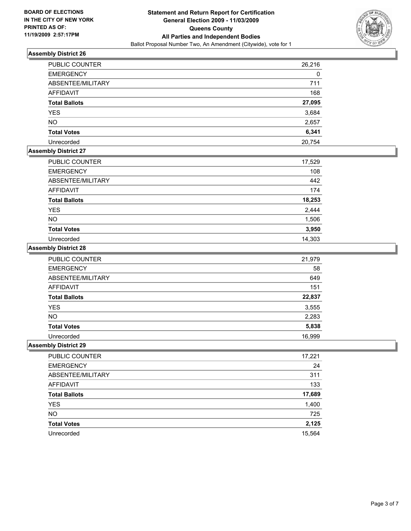

| <b>PUBLIC COUNTER</b> | 26,216 |
|-----------------------|--------|
| <b>EMERGENCY</b>      | 0      |
| ABSENTEE/MILITARY     | 711    |
| AFFIDAVIT             | 168    |
| <b>Total Ballots</b>  | 27,095 |
| <b>YES</b>            | 3,684  |
| <b>NO</b>             | 2,657  |
| <b>Total Votes</b>    | 6,341  |
| Unrecorded            | 20,754 |

# **Assembly District 27**

| <b>PUBLIC COUNTER</b> | 17,529 |
|-----------------------|--------|
| <b>EMERGENCY</b>      | 108    |
| ABSENTEE/MILITARY     | 442    |
| AFFIDAVIT             | 174    |
| <b>Total Ballots</b>  | 18,253 |
| <b>YES</b>            | 2,444  |
| <b>NO</b>             | 1,506  |
| <b>Total Votes</b>    | 3,950  |
| Unrecorded            | 14,303 |

# **Assembly District 28**

| <b>PUBLIC COUNTER</b> | 21,979 |
|-----------------------|--------|
| <b>EMERGENCY</b>      | 58     |
| ABSENTEE/MILITARY     | 649    |
| <b>AFFIDAVIT</b>      | 151    |
| <b>Total Ballots</b>  | 22,837 |
| <b>YES</b>            | 3,555  |
| <b>NO</b>             | 2,283  |
| <b>Total Votes</b>    | 5,838  |
| Unrecorded            | 16,999 |

| PUBLIC COUNTER       | 17,221 |
|----------------------|--------|
| <b>EMERGENCY</b>     | 24     |
| ABSENTEE/MILITARY    | 311    |
| AFFIDAVIT            | 133    |
| <b>Total Ballots</b> | 17,689 |
| <b>YES</b>           | 1,400  |
| <b>NO</b>            | 725    |
| <b>Total Votes</b>   | 2,125  |
| Unrecorded           | 15,564 |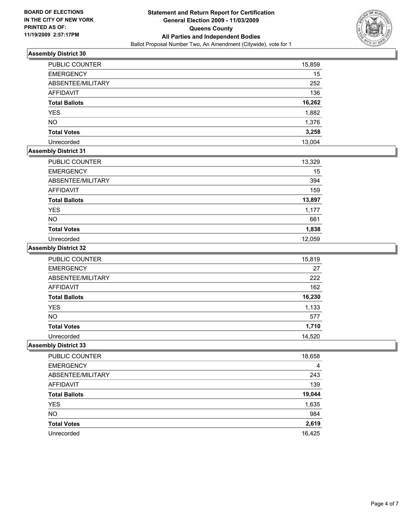

| <b>PUBLIC COUNTER</b> | 15,859 |
|-----------------------|--------|
| <b>EMERGENCY</b>      | 15     |
| ABSENTEE/MILITARY     | 252    |
| <b>AFFIDAVIT</b>      | 136    |
| <b>Total Ballots</b>  | 16,262 |
| <b>YES</b>            | 1,882  |
| <b>NO</b>             | 1,376  |
| <b>Total Votes</b>    | 3,258  |
| Unrecorded            | 13,004 |

# **Assembly District 31**

| <b>PUBLIC COUNTER</b> | 13,329 |
|-----------------------|--------|
| <b>EMERGENCY</b>      | 15     |
| ABSENTEE/MILITARY     | 394    |
| <b>AFFIDAVIT</b>      | 159    |
| <b>Total Ballots</b>  | 13,897 |
| <b>YES</b>            | 1,177  |
| <b>NO</b>             | 661    |
| <b>Total Votes</b>    | 1,838  |
| Unrecorded            | 12,059 |

#### **Assembly District 32**

| PUBLIC COUNTER       | 15,819 |
|----------------------|--------|
| <b>EMERGENCY</b>     | 27     |
| ABSENTEE/MILITARY    | 222    |
| AFFIDAVIT            | 162    |
| <b>Total Ballots</b> | 16,230 |
| <b>YES</b>           | 1,133  |
| <b>NO</b>            | 577    |
| <b>Total Votes</b>   | 1,710  |
| Unrecorded           | 14,520 |

| PUBLIC COUNTER       | 18,658 |
|----------------------|--------|
| <b>EMERGENCY</b>     | 4      |
| ABSENTEE/MILITARY    | 243    |
| <b>AFFIDAVIT</b>     | 139    |
| <b>Total Ballots</b> | 19,044 |
| YES                  | 1,635  |
| <b>NO</b>            | 984    |
| <b>Total Votes</b>   | 2,619  |
| Unrecorded           | 16,425 |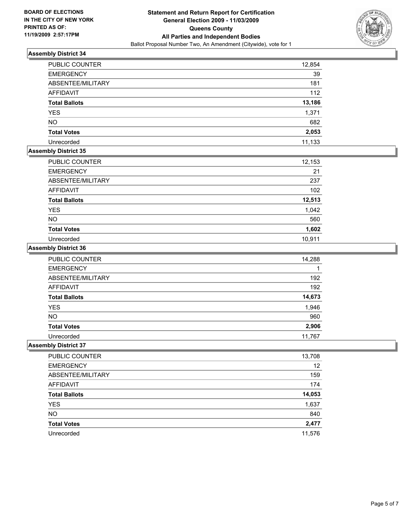

| <b>PUBLIC COUNTER</b> | 12,854 |
|-----------------------|--------|
| <b>EMERGENCY</b>      | 39     |
| ABSENTEE/MILITARY     | 181    |
| <b>AFFIDAVIT</b>      | 112    |
| <b>Total Ballots</b>  | 13,186 |
| <b>YES</b>            | 1,371  |
| <b>NO</b>             | 682    |
| <b>Total Votes</b>    | 2,053  |
| Unrecorded            | 11,133 |

### **Assembly District 35**

| <b>PUBLIC COUNTER</b> | 12,153 |
|-----------------------|--------|
| <b>EMERGENCY</b>      | 21     |
| ABSENTEE/MILITARY     | 237    |
| AFFIDAVIT             | 102    |
| <b>Total Ballots</b>  | 12,513 |
| <b>YES</b>            | 1,042  |
| <b>NO</b>             | 560    |
| <b>Total Votes</b>    | 1,602  |
| Unrecorded            | 10.911 |

# **Assembly District 36**

| <b>PUBLIC COUNTER</b> | 14,288 |
|-----------------------|--------|
| <b>EMERGENCY</b>      |        |
| ABSENTEE/MILITARY     | 192    |
| <b>AFFIDAVIT</b>      | 192    |
| <b>Total Ballots</b>  | 14,673 |
| <b>YES</b>            | 1,946  |
| <b>NO</b>             | 960    |
| <b>Total Votes</b>    | 2,906  |
| Unrecorded            | 11.767 |

| PUBLIC COUNTER       | 13,708 |
|----------------------|--------|
| <b>EMERGENCY</b>     | 12     |
| ABSENTEE/MILITARY    | 159    |
| AFFIDAVIT            | 174    |
| <b>Total Ballots</b> | 14,053 |
| <b>YES</b>           | 1,637  |
| <b>NO</b>            | 840    |
| <b>Total Votes</b>   | 2,477  |
| Unrecorded           | 11.576 |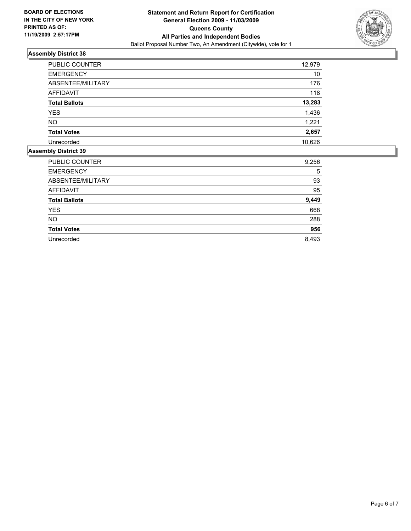

| PUBLIC COUNTER       | 12,979 |
|----------------------|--------|
| <b>EMERGENCY</b>     | 10     |
| ABSENTEE/MILITARY    | 176    |
| <b>AFFIDAVIT</b>     | 118    |
| <b>Total Ballots</b> | 13,283 |
| <b>YES</b>           | 1,436  |
| <b>NO</b>            | 1,221  |
| <b>Total Votes</b>   | 2,657  |
| Unrecorded           | 10,626 |

| <b>PUBLIC COUNTER</b> | 9,256 |
|-----------------------|-------|
| <b>EMERGENCY</b>      | 5     |
| ABSENTEE/MILITARY     | 93    |
| <b>AFFIDAVIT</b>      | 95    |
| <b>Total Ballots</b>  | 9,449 |
| <b>YES</b>            | 668   |
| <b>NO</b>             | 288   |
| <b>Total Votes</b>    | 956   |
| Unrecorded            | 8.493 |